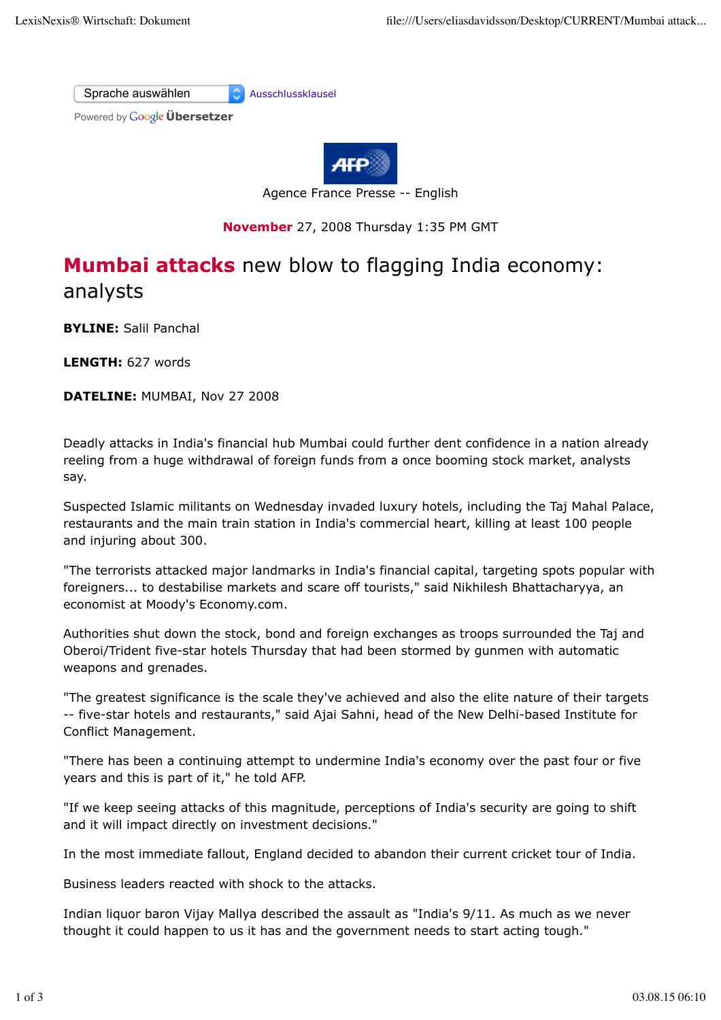

## **November** 27, 2008 Thursday 1:35 PM GMT

## **Mumbai attacks** new blow to flagging India economy: analysts

**BYLINE:** Salil Panchal

**LENGTH:** 627 words

**DATELINE:** MUMBAI, Nov 27 2008

Deadly attacks in India's financial hub Mumbai could further dent confidence in a nation already reeling from a huge withdrawal of foreign funds from a once booming stock market, analysts say.

Suspected Islamic militants on Wednesday invaded luxury hotels, including the Taj Mahal Palace, restaurants and the main train station in India's commercial heart, killing at least 100 people and injuring about 300.

"The terrorists attacked major landmarks in India's financial capital, targeting spots popular with foreigners... to destabilise markets and scare off tourists," said Nikhilesh Bhattacharyya, an economist at Moody's Economy.com.

Authorities shut down the stock, bond and foreign exchanges as troops surrounded the Taj and Oberoi/Trident five-star hotels Thursday that had been stormed by gunmen with automatic weapons and grenades.

"The greatest significance is the scale they've achieved and also the elite nature of their targets -- five-star hotels and restaurants," said Ajai Sahni, head of the New Delhi-based Institute for Conflict Management.

"There has been a continuing attempt to undermine India's economy over the past four or five years and this is part of it," he told AFP.

"If we keep seeing attacks of this magnitude, perceptions of India's security are going to shift and it will impact directly on investment decisions."

In the most immediate fallout, England decided to abandon their current cricket tour of India.

Business leaders reacted with shock to the attacks.

Indian liquor baron Vijay Mallya described the assault as "India's 9/11. As much as we never thought it could happen to us it has and the government needs to start acting tough."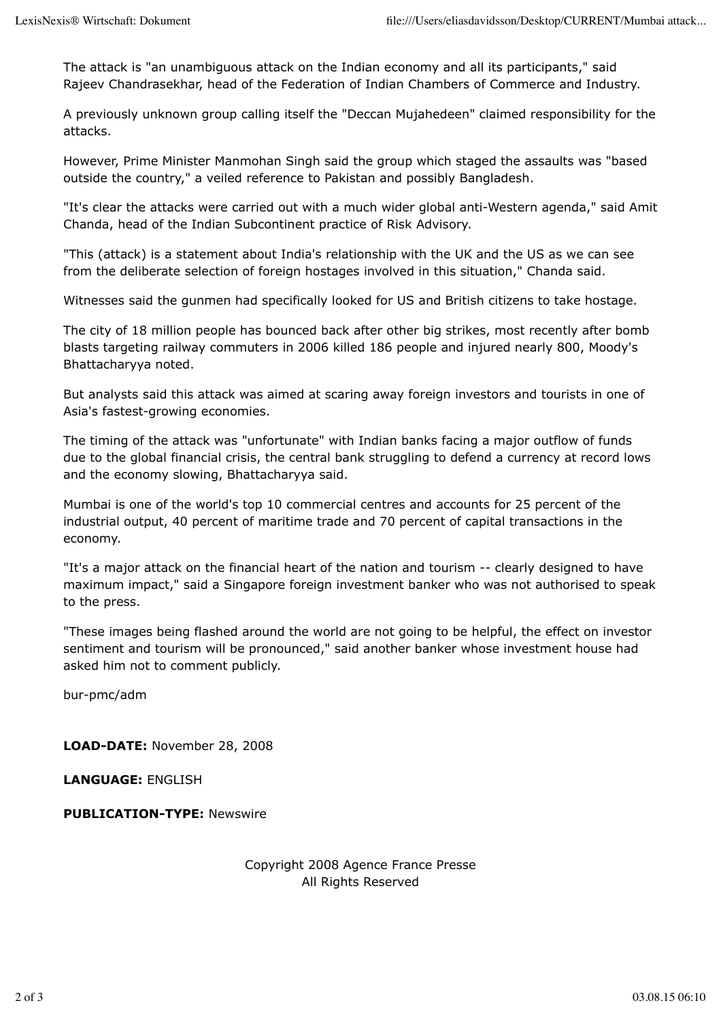The attack is "an unambiguous attack on the Indian economy and all its participants," said Rajeev Chandrasekhar, head of the Federation of Indian Chambers of Commerce and Industry.

A previously unknown group calling itself the "Deccan Mujahedeen" claimed responsibility for the attacks.

However, Prime Minister Manmohan Singh said the group which staged the assaults was "based outside the country," a veiled reference to Pakistan and possibly Bangladesh.

"It's clear the attacks were carried out with a much wider global anti-Western agenda," said Amit Chanda, head of the Indian Subcontinent practice of Risk Advisory.

"This (attack) is a statement about India's relationship with the UK and the US as we can see from the deliberate selection of foreign hostages involved in this situation," Chanda said.

Witnesses said the gunmen had specifically looked for US and British citizens to take hostage.

The city of 18 million people has bounced back after other big strikes, most recently after bomb blasts targeting railway commuters in 2006 killed 186 people and injured nearly 800, Moody's Bhattacharyya noted.

But analysts said this attack was aimed at scaring away foreign investors and tourists in one of Asia's fastest-growing economies.

The timing of the attack was "unfortunate" with Indian banks facing a major outflow of funds due to the global financial crisis, the central bank struggling to defend a currency at record lows and the economy slowing, Bhattacharyya said.

Mumbai is one of the world's top 10 commercial centres and accounts for 25 percent of the industrial output, 40 percent of maritime trade and 70 percent of capital transactions in the economy.

"It's a major attack on the financial heart of the nation and tourism -- clearly designed to have maximum impact," said a Singapore foreign investment banker who was not authorised to speak to the press.

"These images being flashed around the world are not going to be helpful, the effect on investor sentiment and tourism will be pronounced," said another banker whose investment house had asked him not to comment publicly.

bur-pmc/adm

**LOAD-DATE:** November 28, 2008

**LANGUAGE:** ENGLISH

**PUBLICATION-TYPE:** Newswire

Copyright 2008 Agence France Presse All Rights Reserved